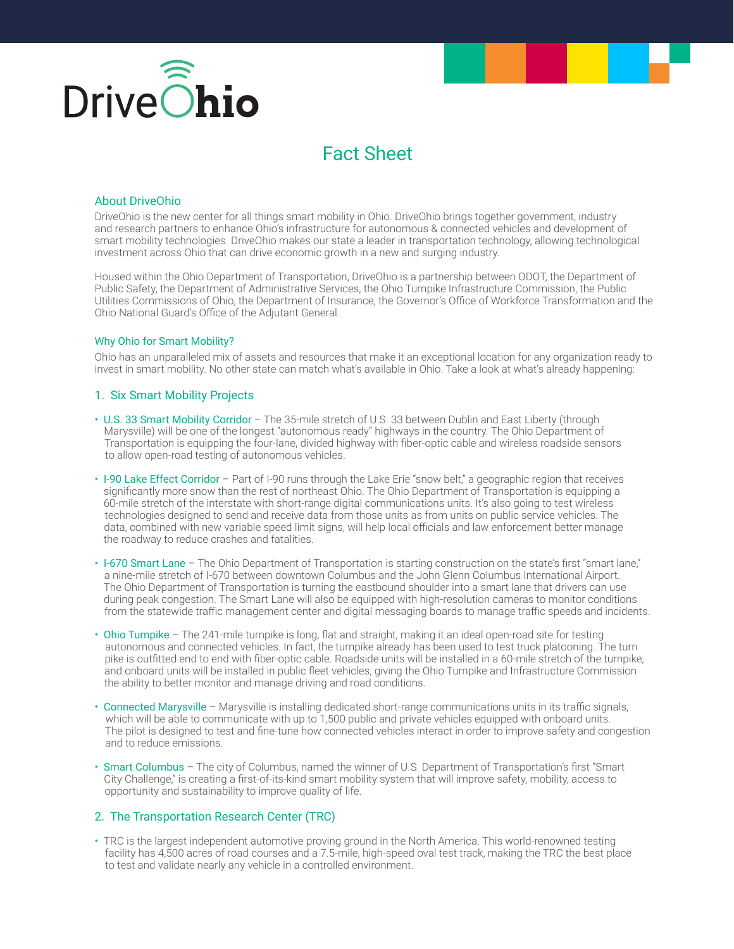

# Fact Sheet

#### About DriveOhio

DriveOhio is the new center for all things smart mobility in Ohio. DriveOhio brings together government, industry and research partners to enhance Ohio's infrastructure for autonomous & connected vehicles and development of smart mobility technologies. DriveOhio makes our state a leader in transportation technology, allowing technological investment across Ohio that can drive economic growth in a new and surging industry.

Housed within the Ohio Department of Transportation, DriveOhio is a partnership between ODOT, the Department of Public Safety, the Department of Administrative Services, the Ohio Turnpike Infrastructure Commission, the Public Utilities Commissions of Ohio, the Department of Insurance, the Governor's Office of Workforce Transformation and the Ohio National Guard's Office of the Adjutant General.

#### Why Ohio for Smart Mobility?

Ohio has an unparalleled mix of assets and resources that make it an exceptional location for any organization ready to invest in smart mobility. No other state can match what's available in Ohio. Take a look at what's already happening:

### 1. Six Smart Mobility Projects

- U.S. 33 Smart Mobility Corridor The 35-mile stretch of U.S. 33 between Dublin and East Liberty (through Marysville) will be one of the longest "autonomous ready" highways in the country. The Ohio Department of Transportation is equipping the four-lane, divided highway with fiber-optic cable and wireless roadside sensors to allow open-road testing of autonomous vehicles.
- I-90 Lake Effect Corridor Part of I-90 runs through the Lake Erie "snow belt," a geographic region that receives significantly more snow than the rest of northeast Ohio. The Ohio Department of Transportation is equipping a 60-mile stretch of the interstate with short-range digital communications units. It's also going to test wireless technologies designed to send and receive data from those units as from units on public service vehicles. The data, combined with new variable speed limit signs, will help local officials and law enforcement better manage the roadway to reduce crashes and fatalities.
- I-670 Smart Lane The Ohio Department of Transportation is starting construction on the state's first "smart lane," a nine-mile stretch of I-670 between downtown Columbus and the John Glenn Columbus International Airport. The Ohio Department of Transportation is turning the eastbound shoulder into a smart lane that drivers can use during peak congestion. The Smart Lane will also be equipped with high-resolution cameras to monitor conditions from the statewide traffic management center and digital messaging boards to manage traffic speeds and incidents.
- Ohio Turnpike The 241-mile turnpike is long, flat and straight, making it an ideal open-road site for testing autonomous and connected vehicles. In fact, the turnpike already has been used to test truck platooning. The turn pike is outfitted end to end with fiber-optic cable. Roadside units will be installed in a 60-mile stretch of the turnpike, and onboard units will be installed in public fleet vehicles, giving the Ohio Turnpike and Infrastructure Commission the ability to better monitor and manage driving and road conditions.
- Connected Marysville Marysville is installing dedicated short-range communications units in its traffic signals, which will be able to communicate with up to 1,500 public and private vehicles equipped with onboard units. The pilot is designed to test and fine-tune how connected vehicles interact in order to improve safety and congestion and to reduce emissions.
- Smart Columbus The city of Columbus, named the winner of U.S. Department of Transportation's first "Smart City Challenge," is creating a first-of-its-kind smart mobility system that will improve safety, mobility, access to opportunity and sustainability to improve quality of life.

# 2. The Transportation Research Center (TRC)

• TRC is the largest independent automotive proving ground in the North America. This world-renowned testing facility has 4,500 acres of road courses and a 7.5-mile, high-speed oval test track, making the TRC the best place to test and validate nearly any vehicle in a controlled environment.